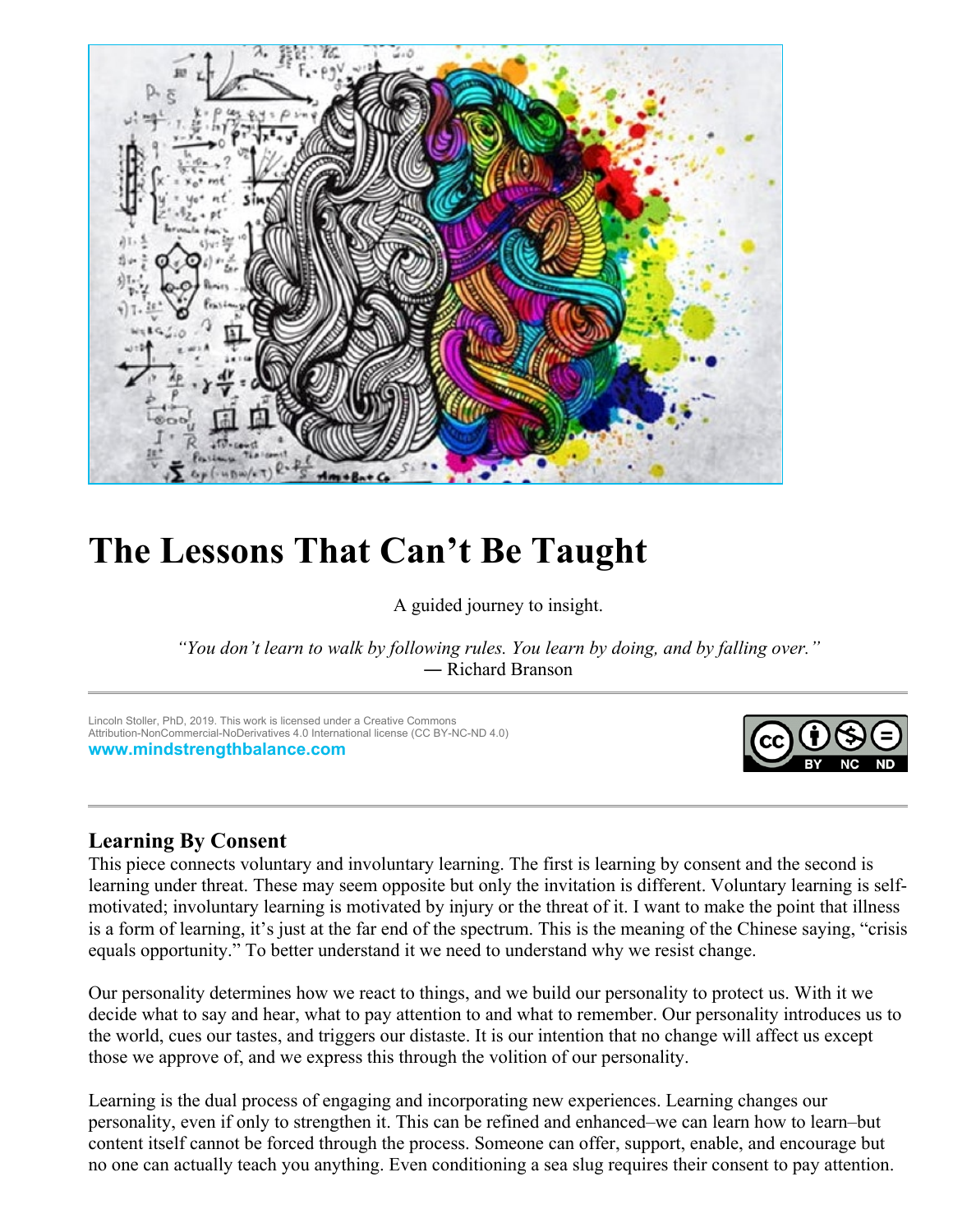

# **The Lessons That Can't Be Taught**

A guided journey to insight.

*"You don't learn to walk by following rules. You learn by doing, and by falling over."* ― Richard Branson

Lincoln Stoller, PhD, 2019. This work is licensed under a Creative Commons Attribution-NonCommercial-NoDerivatives 4.0 International license (CC BY-NC-ND 4.0) **[www.mindstrengthbalance.com](https://www.mindstrengthbalance.com/)**



# **Learning By Consent**

This piece connects voluntary and involuntary learning. The first is learning by consent and the second is learning under threat. These may seem opposite but only the invitation is different. Voluntary learning is selfmotivated; involuntary learning is motivated by injury or the threat of it. I want to make the point that illness is a form of learning, it's just at the far end of the spectrum. This is the meaning of the Chinese saying, "crisis equals opportunity." To better understand it we need to understand why we resist change.

Our personality determines how we react to things, and we build our personality to protect us. With it we decide what to say and hear, what to pay attention to and what to remember. Our personality introduces us to the world, cues our tastes, and triggers our distaste. It is our intention that no change will affect us except those we approve of, and we express this through the volition of our personality.

Learning is the dual process of engaging and incorporating new experiences. Learning changes our personality, even if only to strengthen it. This can be refined and enhanced–we can learn how to learn–but content itself cannot be forced through the process. Someone can offer, support, enable, and encourage but no one can actually teach you anything. Even conditioning a sea slug requires their consent to pay attention.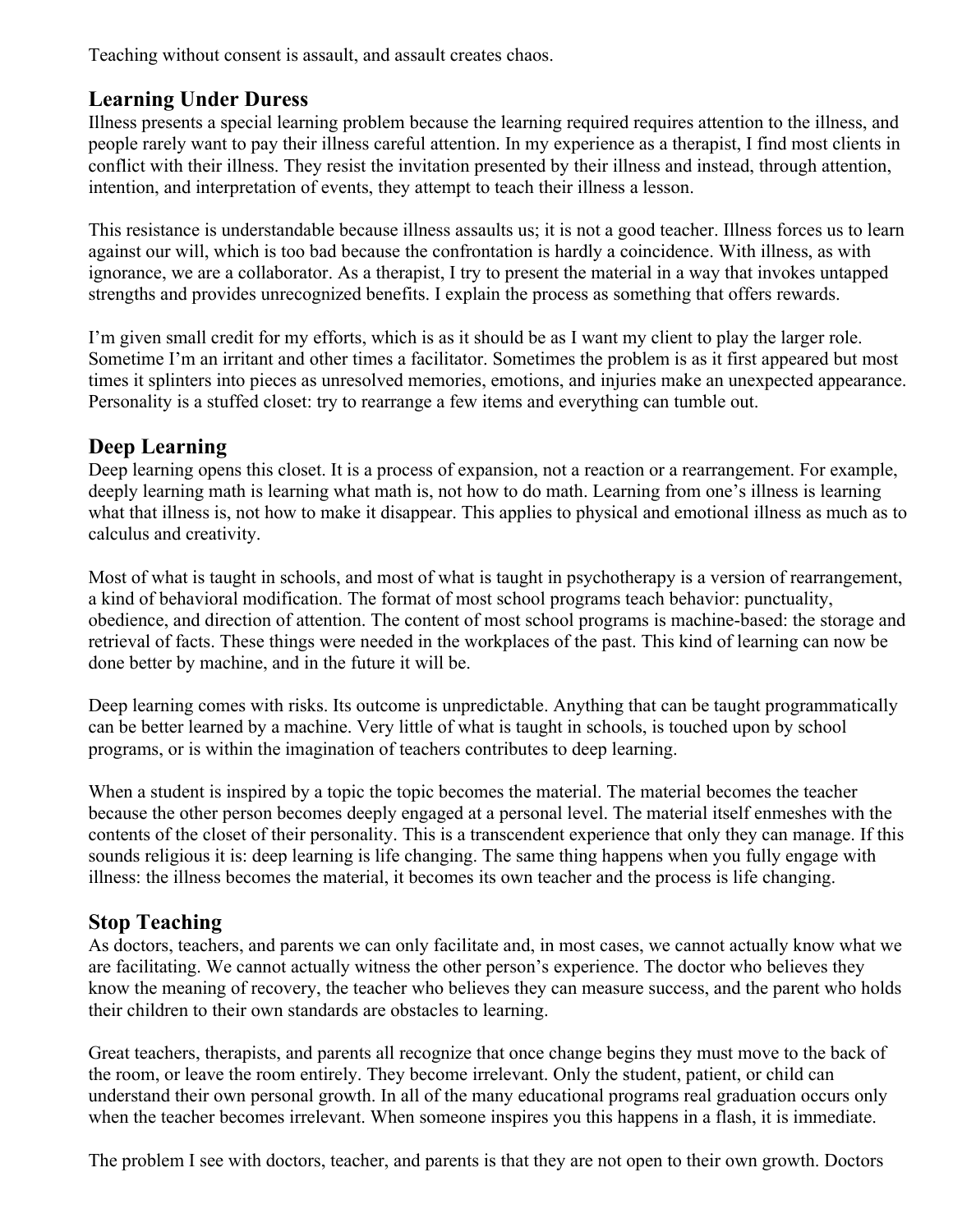Teaching without consent is assault, and assault creates chaos.

# **Learning Under Duress**

Illness presents a special learning problem because the learning required requires attention to the illness, and people rarely want to pay their illness careful attention. In my experience as a therapist, I find most clients in conflict with their illness. They resist the invitation presented by their illness and instead, through attention, intention, and interpretation of events, they attempt to teach their illness a lesson.

This resistance is understandable because illness assaults us; it is not a good teacher. Illness forces us to learn against our will, which is too bad because the confrontation is hardly a coincidence. With illness, as with ignorance, we are a collaborator. As a therapist, I try to present the material in a way that invokes untapped strengths and provides unrecognized benefits. I explain the process as something that offers rewards.

I'm given small credit for my efforts, which is as it should be as I want my client to play the larger role. Sometime I'm an irritant and other times a facilitator. Sometimes the problem is as it first appeared but most times it splinters into pieces as unresolved memories, emotions, and injuries make an unexpected appearance. Personality is a stuffed closet: try to rearrange a few items and everything can tumble out.

## **Deep Learning**

Deep learning opens this closet. It is a process of expansion, not a reaction or a rearrangement. For example, deeply learning math is learning what math is, not how to do math. Learning from one's illness is learning what that illness is, not how to make it disappear. This applies to physical and emotional illness as much as to calculus and creativity.

Most of what is taught in schools, and most of what is taught in psychotherapy is a version of rearrangement, a kind of behavioral modification. The format of most school programs teach behavior: punctuality, obedience, and direction of attention. The content of most school programs is machine-based: the storage and retrieval of facts. These things were needed in the workplaces of the past. This kind of learning can now be done better by machine, and in the future it will be.

Deep learning comes with risks. Its outcome is unpredictable. Anything that can be taught programmatically can be better learned by a machine. Very little of what is taught in schools, is touched upon by school programs, or is within the imagination of teachers contributes to deep learning.

When a student is inspired by a topic the topic becomes the material. The material becomes the teacher because the other person becomes deeply engaged at a personal level. The material itself enmeshes with the contents of the closet of their personality. This is a transcendent experience that only they can manage. If this sounds religious it is: deep learning is life changing. The same thing happens when you fully engage with illness: the illness becomes the material, it becomes its own teacher and the process is life changing.

# **Stop Teaching**

As doctors, teachers, and parents we can only facilitate and, in most cases, we cannot actually know what we are facilitating. We cannot actually witness the other person's experience. The doctor who believes they know the meaning of recovery, the teacher who believes they can measure success, and the parent who holds their children to their own standards are obstacles to learning.

Great teachers, therapists, and parents all recognize that once change begins they must move to the back of the room, or leave the room entirely. They become irrelevant. Only the student, patient, or child can understand their own personal growth. In all of the many educational programs real graduation occurs only when the teacher becomes irrelevant. When someone inspires you this happens in a flash, it is immediate.

The problem I see with doctors, teacher, and parents is that they are not open to their own growth. Doctors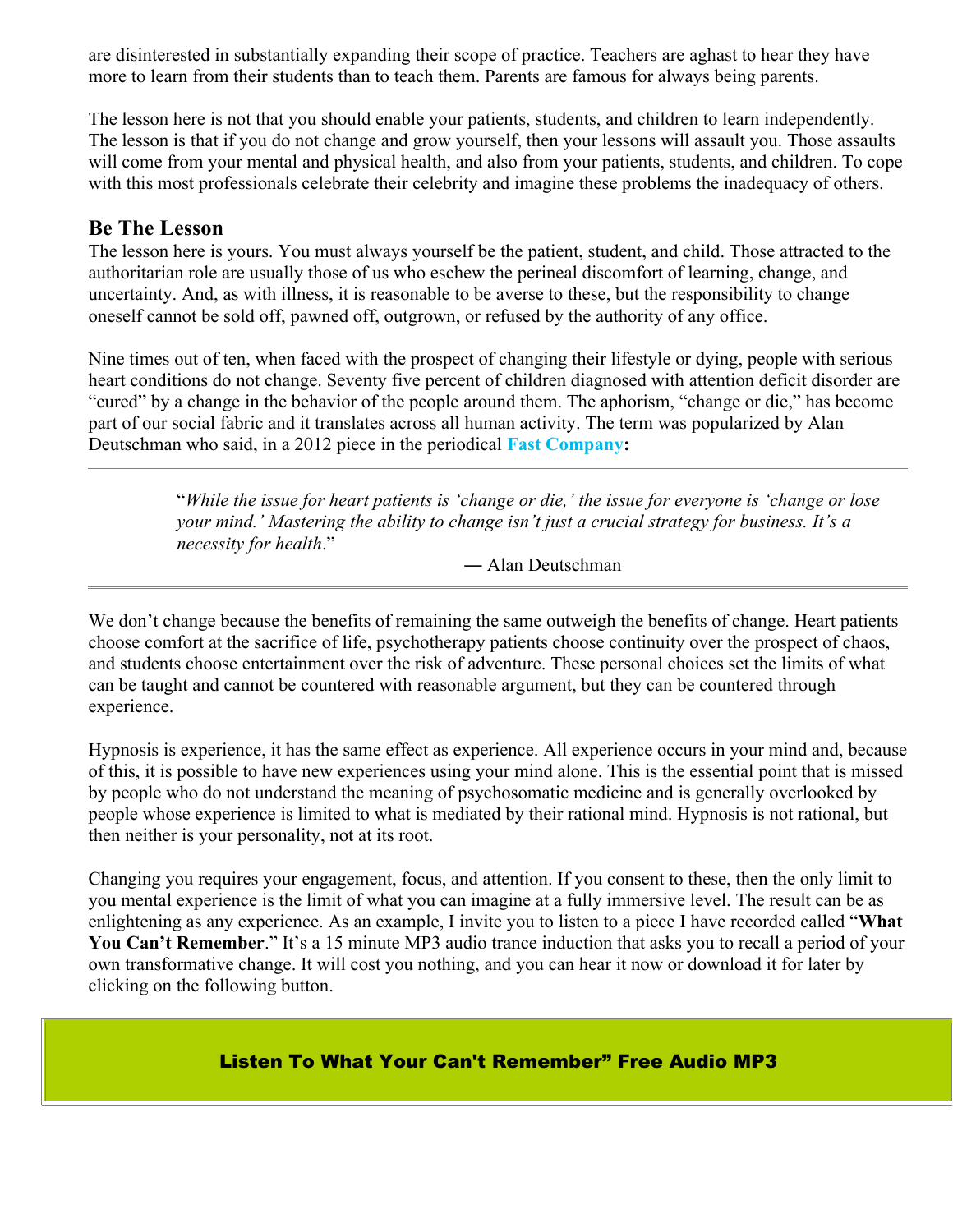are disinterested in substantially expanding their scope of practice. Teachers are aghast to hear they have more to learn from their students than to teach them. Parents are famous for always being parents.

The lesson here is not that you should enable your patients, students, and children to learn independently. The lesson is that if you do not change and grow yourself, then your lessons will assault you. Those assaults will come from your mental and physical health, and also from your patients, students, and children. To cope with this most professionals celebrate their celebrity and imagine these problems the inadequacy of others.

### **Be The Lesson**

The lesson here is yours. You must always yourself be the patient, student, and child. Those attracted to the authoritarian role are usually those of us who eschew the perineal discomfort of learning, change, and uncertainty. And, as with illness, it is reasonable to be averse to these, but the responsibility to change oneself cannot be sold off, pawned off, outgrown, or refused by the authority of any office.

Nine times out of ten, when faced with the prospect of changing their lifestyle or dying, people with serious heart conditions do not change. Seventy five percent of children diagnosed with attention deficit disorder are "cured" by a change in the behavior of the people around them. The aphorism, "change or die," has become part of our social fabric and it translates across all human activity. The term was popularized by Alan Deutschman who said, in a 2012 piece in the periodical **[Fast Company:](https://www.fastcompany.com/52717/change-or-die)**

> "*While the issue for heart patients is 'change or die,' the issue for everyone is 'change or lose your mind.' Mastering the ability to change isn't just a crucial strategy for business. It's a necessity for health*."

> > ― Alan Deutschman

We don't change because the benefits of remaining the same outweigh the benefits of change. Heart patients choose comfort at the sacrifice of life, psychotherapy patients choose continuity over the prospect of chaos, and students choose entertainment over the risk of adventure. These personal choices set the limits of what can be taught and cannot be countered with reasonable argument, but they can be countered through experience.

Hypnosis is experience, it has the same effect as experience. All experience occurs in your mind and, because of this, it is possible to have new experiences using your mind alone. This is the essential point that is missed by people who do not understand the meaning of psychosomatic medicine and is generally overlooked by people whose experience is limited to what is mediated by their rational mind. Hypnosis is not rational, but then neither is your personality, not at its root.

Changing you requires your engagement, focus, and attention. If you consent to these, then the only limit to you mental experience is the limit of what you can imagine at a fully immersive level. The result can be as enlightening as any experience. As an example, I invite you to listen to a piece I have recorded called "**What**  You Can't Remember." It's a 15 minute MP3 audio trance induction that asks you to recall a period of your own transformative change. It will cost you nothing, and you can hear it now or download it for later by clicking on the following button.

#### [Listen To What Your Can't Remember" Free Audio MP3](https://www.mindstrengthbalance.com/mindwp/wp-content/uploads/2019/05/What-You-Cant-Remember.mp3)